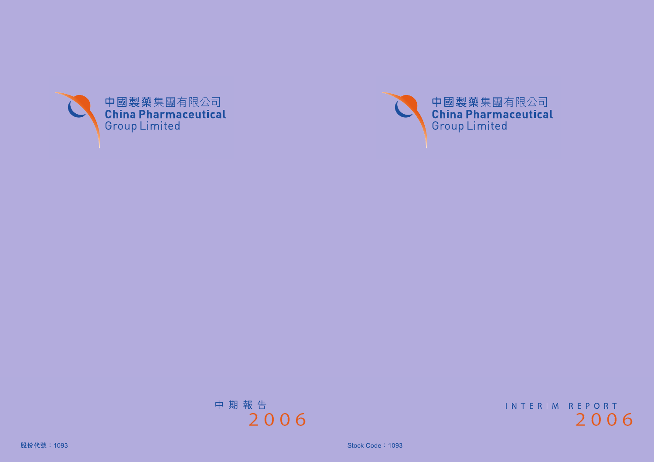

INTERIM REPORT 2006

Stock Code: 1093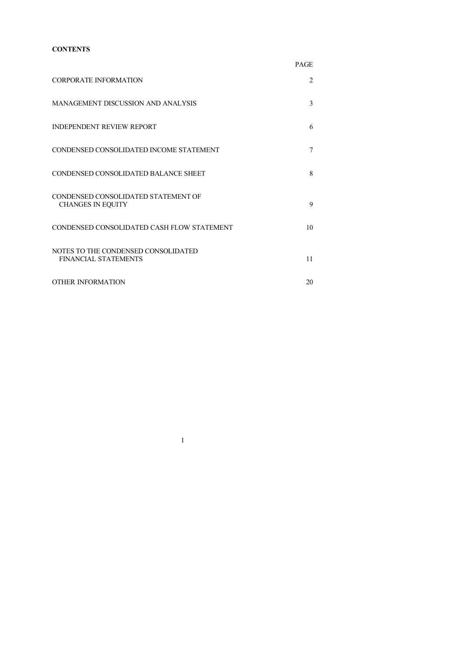## **CONTENTS**

|                                                                    | <b>PAGE</b> |
|--------------------------------------------------------------------|-------------|
| <b>CORPORATE INFORMATION</b>                                       | 2           |
| <b>MANAGEMENT DISCUSSION AND ANALYSIS</b>                          | 3           |
| <b>INDEPENDENT REVIEW REPORT</b>                                   | 6           |
| CONDENSED CONSOLIDATED INCOME STATEMENT                            | 7           |
| CONDENSED CONSOLIDATED BALANCE SHEET                               | 8           |
| CONDENSED CONSOLIDATED STATEMENT OF<br><b>CHANGES IN EQUITY</b>    | 9           |
| CONDENSED CONSOLIDATED CASH FLOW STATEMENT                         | 10          |
| NOTES TO THE CONDENSED CONSOLIDATED<br><b>FINANCIAL STATEMENTS</b> | 11          |
| <b>OTHER INFORMATION</b>                                           | 20          |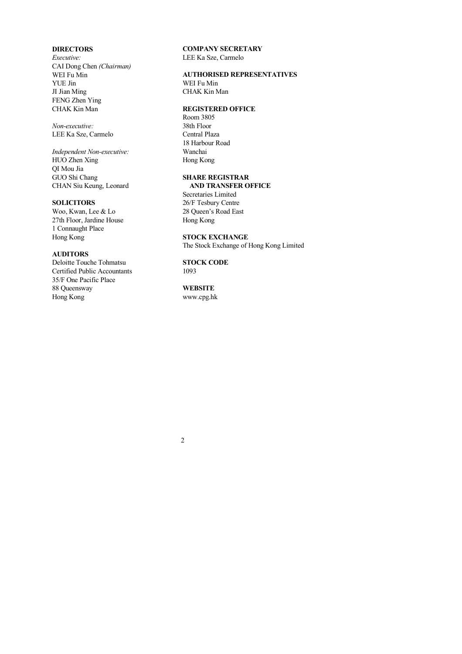## <span id="page-2-0"></span>**DIRECTORS**

*Executive:* CAI Dong Chen *(Chairman)* WEI Fu Min YUE Jin JI Jian Ming FENG Zhen Ying CHAK Kin Man

*Non-executive:* LEE Ka Sze, Carmelo

*Independent Non-executive:* HUO Zhen Xing QI Mou Jia GUO Shi Chang CHAN Siu Keung, Leonard

## **SOLICITORS**

Woo, Kwan, Lee & Lo 27th Floor, Jardine House 1 Connaught Place Hong Kong

## **AUDITORS**

Deloitte Touche Tohmatsu Certified Public Accountants 35/F One Pacific Place 88 Queensway Hong Kong

**COMPANY SECRETARY** LEE Ka Sze, Carmelo

**AUTHORISED REPRESENTATIVES**

WEI Fu Min CHAK Kin Man

## **REGISTERED OFFICE**

Room 3805 38th Floor Central Plaza 18 Harbour Road Wanchai Hong Kong

### **SHARE REGISTRAR AND TRANSFER OFFICE**

Secretaries Limited 26/F Tesbury Centre 28 Queen's Road East Hong Kong

#### **STOCK EXCHANGE**

The Stock Exchange of Hong Kong Limited

**STOCK CODE** 1093

# **WEBSITE**

www.cpg.hk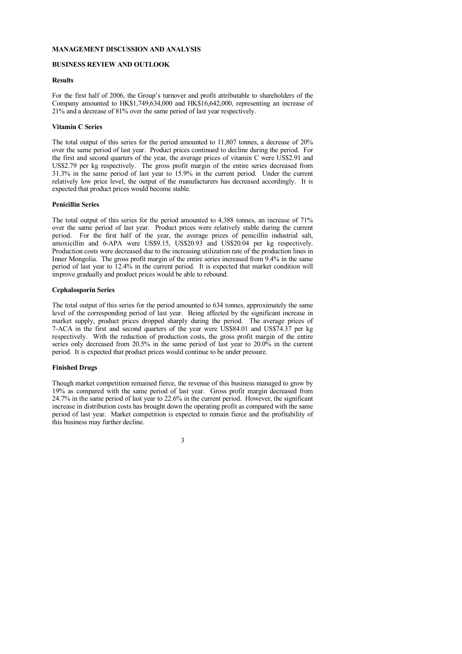## <span id="page-3-0"></span>**MANAGEMENT DISCUSSION AND ANALYSIS**

## **BUSINESS REVIEW AND OUTLOOK**

### **Results**

For the first half of 2006, the Group's turnover and profit attributable to shareholders of the Company amounted to HK\$1,749,634,000 and HK\$16,642,000, representing an increase of 21% and a decrease of 81% over the same period of last year respectively.

#### **Vitamin C Series**

The total output of this series for the period amounted to 11,807 tonnes, a decrease of 20% over the same period of last year. Product prices continued to decline during the period. For the first and second quarters of the year, the average prices of vitamin C were US\$2.91 and US\$2.79 per kg respectively. The gross profit margin of the entire series decreased from 31.3% in the same period of last year to 15.9% in the current period. Under the current relatively low price level, the output of the manufacturers has decreased accordingly. It is expected that product prices would become stable.

## **Penicillin Series**

The total output of this series for the period amounted to 4,388 tonnes, an increase of 71% over the same period of last year. Product prices were relatively stable during the current period. For the first half of the year, the average prices of penicillin industrial salt, amoxicillin and 6-APA were US\$9.15, US\$20.93 and US\$20.04 per kg respectively. Production costs were decreased due to the increasing utilization rate of the production lines in Inner Mongolia. The gross profit margin of the entire series increased from 9.4% in the same period of last year to 12.4% in the current period. It is expected that market condition will improve gradually and product prices would be able to rebound.

### **Cephalosporin Series**

The total output of this series for the period amounted to 634 tonnes, approximately the same level of the corresponding period of last year. Being affected by the significant increase in market supply, product prices dropped sharply during the period. The average prices of 7-ACA in the first and second quarters of the year were US\$84.01 and US\$74.37 per kg respectively. With the reduction of production costs, the gross profit margin of the entire series only decreased from 20.5% in the same period of last year to 20.0% in the current period. It is expected that product prices would continue to be under pressure.

## **Finished Drugs**

Though market competition remained fierce, the revenue of this business managed to grow by 19% as compared with the same period of last year. Gross profit margin decreased from 24.7% in the same period of last year to 22.6% in the current period. However, the significant increase in distribution costs has brought down the operating profit as compared with the same period of last year. Market competition is expected to remain fierce and the profitability of this business may further decline.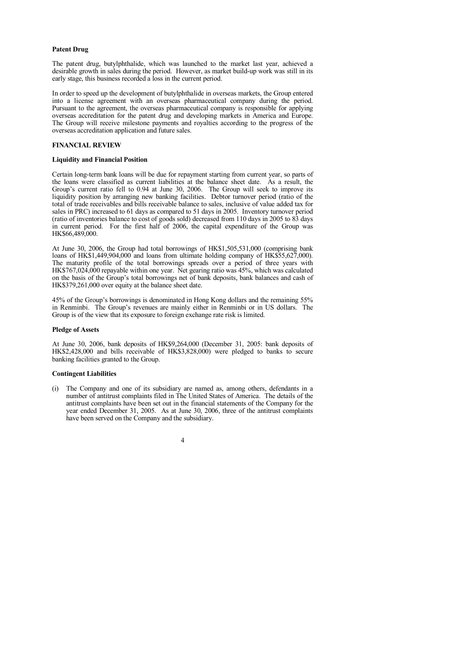## **Patent Drug**

The patent drug, butylphthalide, which was launched to the market last year, achieved a desirable growth in sales during the period. However, as market build-up work was still in its early stage, this business recorded a loss in the current period.

In order to speed up the development of butylphthalide in overseas markets, the Group entered into a license agreement with an overseas pharmaceutical company during the period. Pursuant to the agreement, the overseas pharmaceutical company is responsible for applying overseas accreditation for the patent drug and developing markets in America and Europe. The Group will receive milestone payments and royalties according to the progress of the overseas accreditation application and future sales.

## **FINANCIAL REVIEW**

## **Liquidity and Financial Position**

Certain long-term bank loans will be due for repayment starting from current year, so parts of the loans were classified as current liabilities at the balance sheet date. As a result, the Group's current ratio fell to 0.94 at June 30, 2006. The Group will seek to improve its liquidity position by arranging new banking facilities. Debtor turnover period (ratio of the total of trade receivables and bills receivable balance to sales, inclusive of value added tax for sales in PRC) increased to 61 days as compared to 51 days in 2005. Inventory turnover period (ratio of inventories balance to cost of goods sold) decreased from 110 days in 2005 to 83 days in current period. For the first half of 2006, the capital expenditure of the Group was HK\$66,489,000.

At June 30, 2006, the Group had total borrowings of HK\$1,505,531,000 (comprising bank loans of HK\$1,449,904,000 and loans from ultimate holding company of HK\$55,627,000). The maturity profile of the total borrowings spreads over a period of three years with HK\$767,024,000 repayable within one year. Net gearing ratio was 45%, which was calculated on the basis of the Group's total borrowings net of bank deposits, bank balances and cash of HK\$379,261,000 over equity at the balance sheet date.

45% of the Group's borrowings is denominated in Hong Kong dollars and the remaining 55% in Renminbi. The Group's revenues are mainly either in Renminbi or in US dollars. The Group is of the view that its exposure to foreign exchange rate risk is limited.

#### **Pledge of Assets**

At June 30, 2006, bank deposits of HK\$9,264,000 (December 31, 2005: bank deposits of HK\$2,428,000 and bills receivable of HK\$3,828,000) were pledged to banks to secure banking facilities granted to the Group.

#### **Contingent Liabilities**

(i) The Company and one of its subsidiary are named as, among others, defendants in a number of antitrust complaints filed in The United States of America. The details of the antitrust complaints have been set out in the financial statements of the Company for the year ended December 31, 2005. As at June 30, 2006, three of the antitrust complaints have been served on the Company and the subsidiary.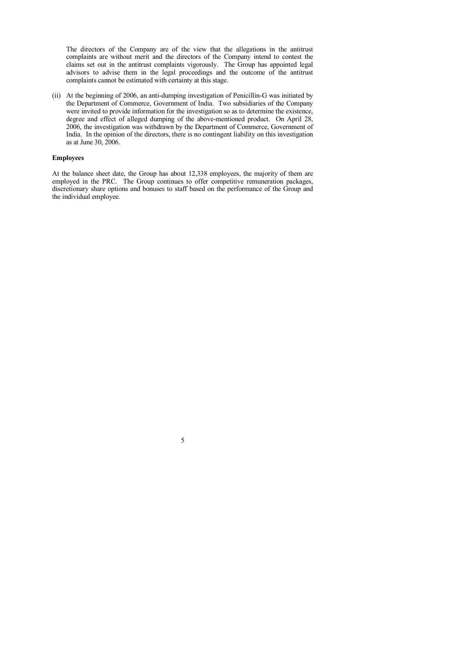The directors of the Company are of the view that the allegations in the antitrust complaints are without merit and the directors of the Company intend to contest the claims set out in the antitrust complaints vigorously. The Group has appointed legal advisors to advise them in the legal proceedings and the outcome of the antitrust complaints cannot be estimated with certainty at this stage.

(ii) At the beginning of 2006, an anti-dumping investigation of Penicillin-G was initiated by the Department of Commerce, Government of India. Two subsidiaries of the Company were invited to provide information for the investigation so as to determine the existence. degree and effect of alleged dumping of the above-mentioned product. On April 28, 2006, the investigation was withdrawn by the Department of Commerce, Government of India. In the opinion of the directors, there is no contingent liability on this investigation as at June 30, 2006.

## **Employees**

At the balance sheet date, the Group has about 12,338 employees, the majority of them are employed in the PRC. The Group continues to offer competitive remuneration packages, discretionary share options and bonuses to staff based on the performance of the Group and the individual employee.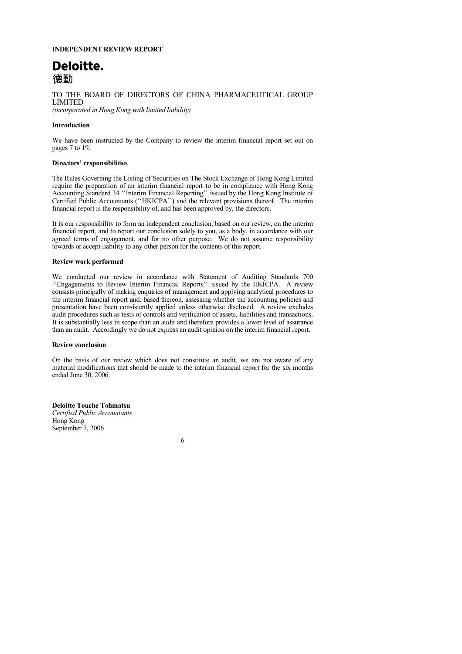## <span id="page-6-0"></span>**INDEPENDENT REVIEW REPORT**

# Deloitte. 德勒

TO THE BOARD OF DIRECTORS OF CHINA PHARMACEUTICAL GROUP LIMITED *(incorporated in Hong Kong with limited liability)*

## **Introduction**

We have been instructed by the Company to review the interim financial report set out on pages 7 to 19.

#### **Directors' responsibilities**

The Rules Governing the Listing of Securities on The Stock Exchange of Hong Kong Limited require the preparation of an interim financial report to be in compliance with Hong Kong Accounting Standard 34 ''Interim Financial Reporting'' issued by the Hong Kong Institute of Certified Public Accountants (''HKICPA'') and the relevant provisions thereof. The interim financial report is the responsibility of, and has been approved by, the directors.

It is our responsibility to form an independent conclusion, based on our review, on the interim financial report, and to report our conclusion solely to you, as a body, in accordance with our agreed terms of engagement, and for no other purpose. We do not assume responsibility towards or accept liability to any other person for the contents of this report.

#### **Review work performed**

We conducted our review in accordance with Statement of Auditing Standards 700 ''Engagements to Review Interim Financial Reports'' issued by the HKICPA. A review consists principally of making enquiries of management and applying analytical procedures to the interim financial report and, based thereon, assessing whether the accounting policies and presentation have been consistently applied unless otherwise disclosed. A review excludes audit procedures such as tests of controls and verification of assets, liabilities and transactions. It is substantially less in scope than an audit and therefore provides a lower level of assurance than an audit. Accordingly we do not express an audit opinion on the interim financial report.

#### **Review conclusion**

On the basis of our review which does not constitute an audit, we are not aware of any material modifications that should be made to the interim financial report for the six months ended June 30, 2006.

**Deloitte Touche Tohmatsu** *Certified Public Accountants* Hong Kong September 7, 2006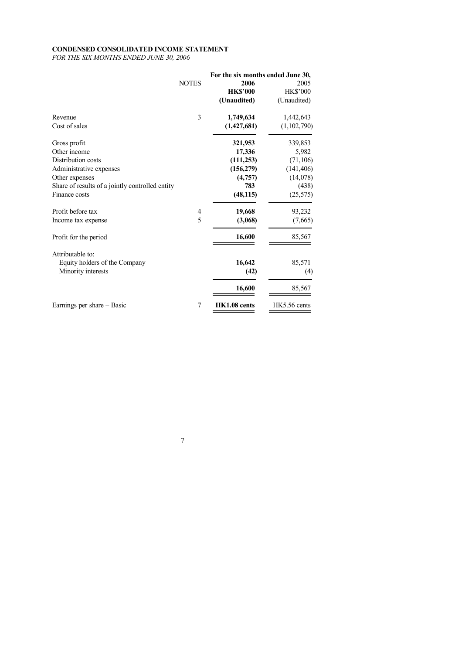## <span id="page-7-0"></span>**CONDENSED CONSOLIDATED INCOME STATEMENT**

*FOR THE SIX MONTHS ENDED JUNE 30, 2006*

|                                                 |              | For the six months ended June 30, |              |
|-------------------------------------------------|--------------|-----------------------------------|--------------|
|                                                 | <b>NOTES</b> | 2006                              | 2005         |
|                                                 |              | <b>HK\$'000</b>                   | HK\$'000     |
|                                                 |              | (Unaudited)                       | (Unaudited)  |
| Revenue                                         | 3            | 1,749,634                         | 1,442,643    |
| Cost of sales                                   |              | (1,427,681)                       | (1,102,790)  |
| Gross profit                                    |              | 321,953                           | 339,853      |
| Other income                                    |              | 17,336                            | 5,982        |
| Distribution costs                              |              | (111, 253)                        | (71, 106)    |
| Administrative expenses                         |              | (156,279)                         | (141, 406)   |
| Other expenses                                  |              | (4,757)                           | (14,078)     |
| Share of results of a jointly controlled entity |              | 783                               | (438)        |
| Finance costs                                   |              | (48, 115)                         | (25, 575)    |
| Profit before tax                               | 4            | 19,668                            | 93,232       |
| Income tax expense                              | 5            | (3,068)                           | (7,665)      |
| Profit for the period                           |              | 16,600                            | 85,567       |
| Attributable to:                                |              |                                   |              |
| Equity holders of the Company                   |              | 16,642                            | 85,571       |
| Minority interests                              |              | (42)                              | (4)          |
|                                                 |              | 16,600                            | 85,567       |
| Earnings per share - Basic                      | 7            | HK1.08 cents                      | HK5.56 cents |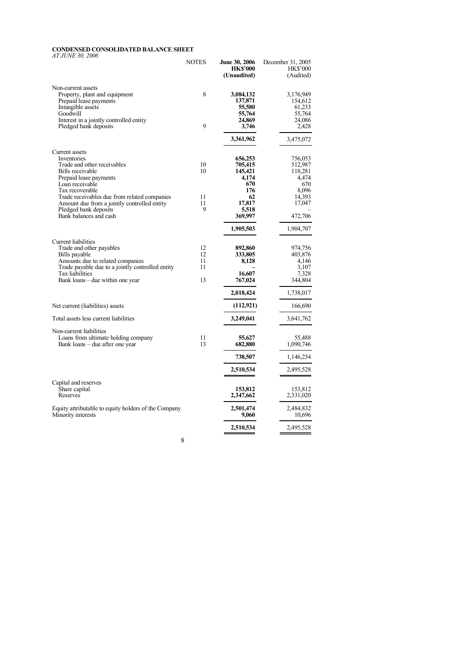## <span id="page-8-0"></span>**CONDENSED CONSOLIDATED BALANCE SHEET**

*AT JUNE 30, 2006*

|                                                                                                                                                                                                                                                                                                    | NOTES                      | <b>June 30, 2006</b><br><b>HK\$'000</b><br>(Unaudited)                                                | December 31, 2005<br><b>HK\$'000</b><br>(Audited)                                                  |
|----------------------------------------------------------------------------------------------------------------------------------------------------------------------------------------------------------------------------------------------------------------------------------------------------|----------------------------|-------------------------------------------------------------------------------------------------------|----------------------------------------------------------------------------------------------------|
| Non-current assets<br>Property, plant and equipment<br>Prepaid lease payments<br>Intangible assets<br>Goodwill<br>Interest in a jointly controlled entity                                                                                                                                          | 8                          | 3,084,132<br>137,871<br>55,580<br>55,764<br>24,869                                                    | 3,176,949<br>154,612<br>61,233<br>55,764<br>24,086                                                 |
| Pledged bank deposits                                                                                                                                                                                                                                                                              | 9                          | 3,746<br>3,361,962                                                                                    | 2,428<br>3,475,072                                                                                 |
| Current assets<br>Inventories<br>Trade and other receivables<br>Bills receivable<br>Prepaid lease payments<br>Loan receivable<br>Tax recoverable<br>Trade receivables due from related companies<br>Amount due from a jointly controlled entity<br>Pledged bank deposits<br>Bank balances and cash | 10<br>10<br>11<br>11<br>9  | 656,253<br>705,415<br>145,421<br>4,174<br>670<br>176<br>62<br>17,817<br>5,518<br>369,997<br>1,905,503 | 756,053<br>512,987<br>118.281<br>4,474<br>670<br>8,096<br>14,393<br>17,047<br>472,706<br>1,904,707 |
| Current liabilities<br>Trade and other payables<br>Bills payable<br>Amounts due to related companies<br>Trade payable due to a jointly controlled entity<br>Tax liabilities<br>Bank loans – due within one year                                                                                    | 12<br>12<br>11<br>11<br>13 | 892,860<br>333,805<br>8,128<br>16,607<br>767,024<br>2,018,424                                         | 974,756<br>403.876<br>4,146<br>3.107<br>7,328<br>344,804<br>1,738,017                              |
| Net current (liabilities) assets                                                                                                                                                                                                                                                                   |                            | (112, 921)                                                                                            | 166,690                                                                                            |
| Total assets less current liabilities                                                                                                                                                                                                                                                              |                            | 3,249,041                                                                                             | 3,641,762                                                                                          |
| Non-current liabilities<br>Loans from ultimate holding company<br>Bank loans – due after one year                                                                                                                                                                                                  | 11<br>13                   | 55,627<br>682,880                                                                                     | 55,488<br>1,090,746                                                                                |
|                                                                                                                                                                                                                                                                                                    |                            | 738,507                                                                                               | 1,146,234                                                                                          |
|                                                                                                                                                                                                                                                                                                    |                            | 2,510,534                                                                                             | 2,495,528                                                                                          |
| Capital and reserves<br>Share capital<br>Reserves                                                                                                                                                                                                                                                  |                            | 153,812<br>2,347,662                                                                                  | 153,812<br>2,331,020                                                                               |
| Equity attributable to equity holders of the Company<br>Minority interests                                                                                                                                                                                                                         |                            | 2,501,474<br>9,060                                                                                    | 2,484,832<br>10,696                                                                                |
|                                                                                                                                                                                                                                                                                                    |                            | 2,510,534                                                                                             | 2,495,528                                                                                          |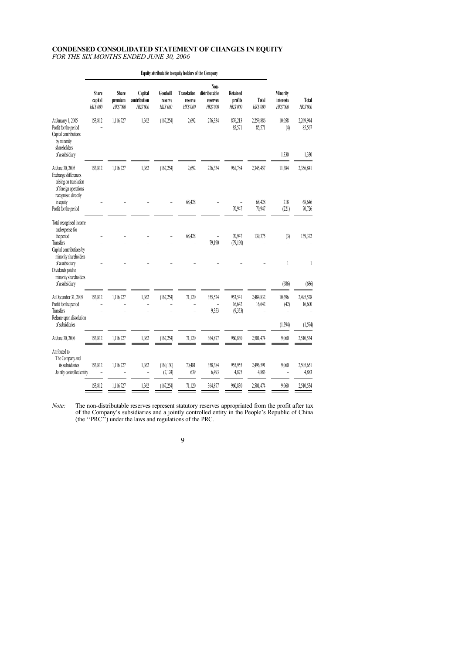## <span id="page-9-0"></span>**CONDENSED CONSOLIDATED STATEMENT OF CHANGES IN EQUITY**

*FOR THE SIX MONTHS ENDED JUNE 30, 2006*

|                                                                                                                    | Share<br>capital<br>HK\$'000 | Share<br>premium<br><b>HK\$'000</b> | Capital<br>contribution<br>HK\$'000 | Goodwill<br>reserve<br>HK\$'000 | <b>Translation</b><br>reserve<br><b>HKS'000</b> | Non-<br>distributable<br>reserves<br><b>HK\$'000</b> | Retained<br>profits<br>HK\$'000 | Total<br><b>HKS'000</b> | Minority<br>interests<br><b>HKS'000</b> | Total<br>HK\$'000   |
|--------------------------------------------------------------------------------------------------------------------|------------------------------|-------------------------------------|-------------------------------------|---------------------------------|-------------------------------------------------|------------------------------------------------------|---------------------------------|-------------------------|-----------------------------------------|---------------------|
| At January 1, 2005<br>Profit for the period<br>Capital contributions<br>by minority<br>shareholders                | 153,812                      | 1,116,727                           | 1,362                               | (167, 254)                      | 2,692                                           | 276,334                                              | 876,213<br>85,571               | 2,259,886<br>85,571     | 10,058<br>(4)                           | 2,269,944<br>85,567 |
| of a subsidiary                                                                                                    |                              |                                     |                                     |                                 |                                                 |                                                      |                                 |                         | 1,330                                   | 1,330               |
| At June 30, 2005<br>Exchange differences<br>arising on translation<br>of foreign operations<br>recognised directly | 153,812                      | 1,116,727                           | 1,362                               | (167, 254)                      | 2,692                                           | 276,334                                              | 961,784                         | 2,345,457               | 11,384                                  | 2,356,841           |
| in equity<br>Profit for the period                                                                                 |                              |                                     |                                     |                                 | 68,428                                          |                                                      | 70,947                          | 68,428<br>70,947        | 218<br>(221)                            | 68,646<br>70,726    |
|                                                                                                                    |                              |                                     |                                     |                                 |                                                 |                                                      |                                 |                         |                                         |                     |
| Total recognised income<br>and expense for<br>the period<br>Transfers                                              |                              |                                     |                                     |                                 | 68,428                                          | 79,190                                               | 70,947<br>(79,190)              | 139,375                 | (3)                                     | 139,372             |
| Capital contributions by<br>minority shareholders<br>of a subsidiary<br>Dividends paid to<br>minority shareholders |                              |                                     |                                     |                                 |                                                 |                                                      |                                 |                         | 1                                       | 1                   |
| of a subsidiary                                                                                                    |                              |                                     |                                     |                                 |                                                 |                                                      |                                 |                         | (686)                                   | (686)               |
| At December 31, 2005<br>Profit for the period<br>Transfers                                                         | 153,812                      | 1,116,727                           | 1,362<br>ä,                         | (167, 254)                      | 71,120                                          | 355,524<br>ä,<br>9,353                               | 953,541<br>16,642<br>(9,353)    | 2,484,832<br>16,642     | 10,696<br>(42)                          | 2,495,528<br>16,600 |
| Release upon dissolution<br>of subsidiaries                                                                        |                              |                                     |                                     |                                 |                                                 |                                                      |                                 |                         | (1, 594)                                | (1, 594)            |
|                                                                                                                    |                              |                                     |                                     |                                 |                                                 |                                                      |                                 |                         |                                         |                     |
| At June 30, 2006                                                                                                   | 153,812                      | 1,116,727                           | 1,362                               | (167, 254)                      | 71,120                                          | 364,877                                              | 960,830                         | 2,501,474               | 9,060                                   | 2,510,534           |
| Attributed to:<br>The Company and<br>its subsidiaries<br>Jointly controlled entity                                 | 153,812                      | 1,116,727                           | 1,362                               | (160, 130)<br>(7, 124)          | 70,481<br>639                                   | 358,384<br>6,493                                     | 955,955<br>4,875                | 2,496,591<br>4,883      | 9,060                                   | 2,505,651<br>4,883  |
|                                                                                                                    | 153,812                      | 1,116,727                           | 1,362                               | (167, 254)                      | 71,120                                          | 364,877                                              | 960,830                         | 2,501,474               | 9,060                                   | 2,510,534           |
|                                                                                                                    |                              |                                     |                                     |                                 |                                                 |                                                      |                                 |                         |                                         |                     |

**Equity attributable to equity holders of the Company**

*Note:* The non-distributable reserves represent statutory reserves appropriated from the profit after tax of the Company's subsidiaries and a jointly controlled entity in the People's Republic of China (the ''PRC'') under the laws and regulations of the PRC.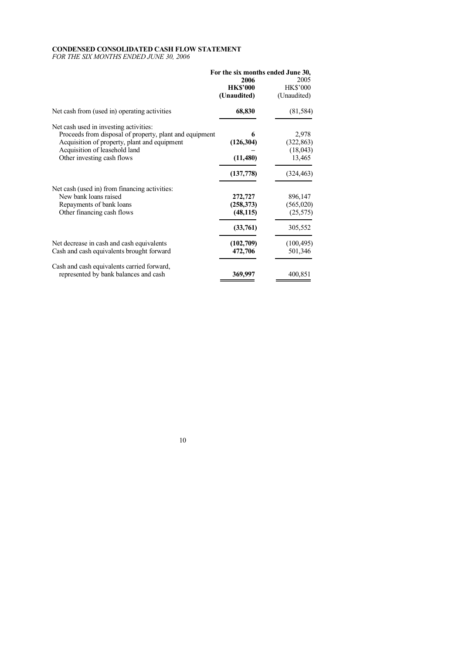## <span id="page-10-0"></span>**CONDENSED CONSOLIDATED CASH FLOW STATEMENT**

*FOR THE SIX MONTHS ENDED JUNE 30, 2006*

| For the six months ended June 30,                       |                                                                |  |  |
|---------------------------------------------------------|----------------------------------------------------------------|--|--|
|                                                         | 2005<br><b>HK\$'000</b>                                        |  |  |
| (Unaudited)                                             | (Unaudited)                                                    |  |  |
| 68,830                                                  | (81, 584)                                                      |  |  |
|                                                         |                                                                |  |  |
| Proceeds from disposal of property, plant and equipment | 2,978                                                          |  |  |
|                                                         | (322, 863)                                                     |  |  |
|                                                         | (18, 043)                                                      |  |  |
|                                                         | 13,465                                                         |  |  |
| (137,778)                                               | (324, 463)                                                     |  |  |
|                                                         |                                                                |  |  |
| 272,727                                                 | 896,147                                                        |  |  |
| (258, 373)                                              | (565, 020)                                                     |  |  |
| (48, 115)                                               | (25, 575)                                                      |  |  |
| (33,761)                                                | 305,552                                                        |  |  |
|                                                         | (100, 495)                                                     |  |  |
| 472,706                                                 | 501,346                                                        |  |  |
| 369,997                                                 | 400,851                                                        |  |  |
|                                                         | 2006<br><b>HK\$'000</b><br>(126, 304)<br>(11,480)<br>(102,709) |  |  |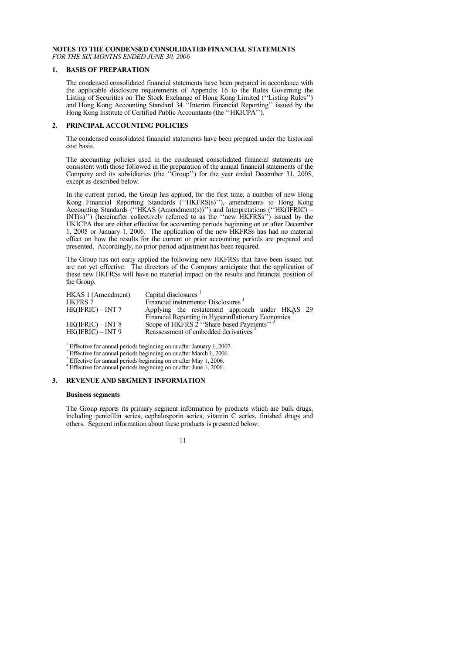#### <span id="page-11-0"></span>**NOTES TO THE CONDENSED CONSOLIDATED FINANCIAL STATEMENTS** *FOR THE SIX MONTHS ENDED JUNE 30, 2006*

### **1. BASIS OF PREPARATION**

The condensed consolidated financial statements have been prepared in accordance with the applicable disclosure requirements of Appendix 16 to the Rules Governing the Listing of Securities on The Stock Exchange of Hong Kong Limited (''Listing Rules'') and Hong Kong Accounting Standard 34 ''Interim Financial Reporting'' issued by the Hong Kong Institute of Certified Public Accountants (the "HKICPA").

#### **2. PRINCIPAL ACCOUNTING POLICIES**

The condensed consolidated financial statements have been prepared under the historical cost basis.

The accounting policies used in the condensed consolidated financial statements are consistent with those followed in the preparation of the annual financial statements of the Company and its subsidiaries (the ''Group'') for the year ended December 31, 2005, except as described below.

In the current period, the Group has applied, for the first time, a number of new Hong Kong Financial Reporting Standards (''HKFRS(s)''), amendments to Hong Kong Accounting Standards (''HKAS (Amendment(s))'') and Interpretations (''HK(IFRIC) – INT(s)'') (hereinafter collectively referred to as the ''new HKFRSs'') issued by the HKICPA that are either effective for accounting periods beginning on or after December 1, 2005 or January 1, 2006. The application of the new HKFRSs has had no material effect on how the results for the current or prior accounting periods are prepared and presented. Accordingly, no prior period adjustment has been required.

The Group has not early applied the following new HKFRSs that have been issued but are not yet effective. The directors of the Company anticipate that the application of these new HKFRSs will have no material impact on the results and financial position of the Group.

| HKAS 1 (Amendment) | Capital disclosures                                                                           |
|--------------------|-----------------------------------------------------------------------------------------------|
| <b>HKFRS 7</b>     | Financial instruments: Disclosures                                                            |
| HK(IFRIC) – INT 7  | Applying the restatement approach under HKAS 29                                               |
|                    | Financial Reporting in Hyperinflationary Economies<br>Scope of HKFRS 2 "Share-based Payments" |
| HK(IFRIC) – INT 8  |                                                                                               |
| HK(IFRIC) – INT 9  | Reassessment of embedded derivatives                                                          |

<sup>1</sup> Effective for annual periods beginning on or after January 1, 2007.

<sup>2</sup> Effective for annual periods beginning on or after March 1, 2006.

Effective for annual periods beginning on or after May 1, 2006.

<sup>4</sup> Effective for annual periods beginning on or after June 1, 2006.

## **3. REVENUE AND SEGMENT INFORMATION**

#### **Business segments**

The Group reports its primary segment information by products which are bulk drugs, including penicillin series, cephalosporin series, vitamin C series, finished drugs and others. Segment information about these products is presented below: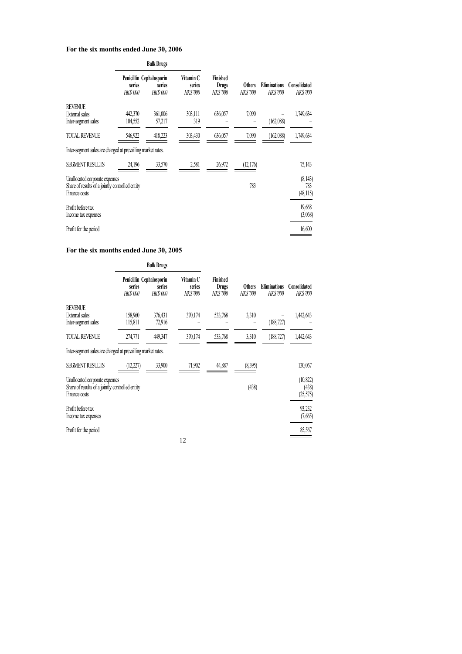## **For the six months ended June 30, 2006**

|                                                                                                    |                           | <b>Bulk Drugs</b>                                     |                                        |                                      |                                  |                                        |                                 |
|----------------------------------------------------------------------------------------------------|---------------------------|-------------------------------------------------------|----------------------------------------|--------------------------------------|----------------------------------|----------------------------------------|---------------------------------|
|                                                                                                    | series<br><b>HK\$'000</b> | Penicillin Cephalosporin<br>series<br><b>HK\$'000</b> | Vitamin C<br>series<br><b>HK\$'000</b> | Finished<br>Drugs<br><b>HK\$'000</b> | <b>Others</b><br><b>HK\$'000</b> | <b>Eliminations</b><br><b>HK\$'000</b> | Consolidated<br><b>HK\$'000</b> |
| <b>REVENUE</b><br><b>External</b> sales<br>Inter-segment sales                                     | 442,370<br>104,552        | 361,006<br>57,217                                     | 303,111<br>319                         | 636,057                              | 7,090                            | (162,088)                              | 1,749,634                       |
| <b>TOTAL REVENUE</b>                                                                               | 546,922                   | 418,223                                               | 303,430                                | 636,057                              | 7,090                            | (162,088)                              | 1,749,634                       |
| Inter-segment sales are charged at prevailing market rates.                                        |                           |                                                       |                                        |                                      |                                  |                                        |                                 |
| <b>SEGMENT RESULTS</b>                                                                             | 24,196                    | 33,570                                                | 2,581                                  | 26,972                               | (12,176)                         |                                        | 75,143                          |
| Unallocated corporate expenses<br>Share of results of a jointly controlled entity<br>Finance costs |                           |                                                       |                                        |                                      | 783                              |                                        | (8,143)<br>783<br>(48,115)      |
| Profit before tax<br>Income tax expenses                                                           |                           |                                                       |                                        |                                      |                                  |                                        | 19,668<br>(3,068)               |
| Profit for the period                                                                              |                           |                                                       |                                        |                                      |                                  |                                        | 16,600                          |

## **For the six months ended June 30, 2005**

|                                                                                                    |                           | <b>Bulk Drugs</b>                                    |                                        |                                             |                                  |                                        |                                 |
|----------------------------------------------------------------------------------------------------|---------------------------|------------------------------------------------------|----------------------------------------|---------------------------------------------|----------------------------------|----------------------------------------|---------------------------------|
|                                                                                                    | series<br><b>HK\$'000</b> | Penicillin Cephalosporin<br>series<br><b>HKS'000</b> | Vitamin C<br>series<br><b>HK\$'000</b> | Finished<br><b>Drugs</b><br><b>HK\$'000</b> | <b>Others</b><br><b>HK\$'000</b> | <b>Eliminations</b><br><b>HK\$'000</b> | Consolidated<br><b>HK\$'000</b> |
| <b>REVENUE</b><br>External sales<br>Inter-segment sales                                            | 158,960<br>115,811        | 376,431<br>72,916                                    | 370,174                                | 533,768                                     | 3,310                            | (188, 727)                             | 1,442,643                       |
| <b>TOTAL REVENUE</b>                                                                               | 274,771                   | 449,347                                              | 370,174                                | 533,768                                     | 3,310                            | (188, 727)                             | 1,442,643                       |
| Inter-segment sales are charged at prevailing market rates.                                        |                           |                                                      |                                        |                                             |                                  |                                        |                                 |
| <b>SEGMENT RESULTS</b>                                                                             | (12.227)                  | 33,900                                               | 71,902                                 | 44,887                                      | (8,395)                          |                                        | 130,067                         |
| Unallocated corporate expenses<br>Share of results of a jointly controlled entity<br>Finance costs |                           |                                                      |                                        |                                             | (438)                            |                                        | (10, 822)<br>(438)<br>(25,575)  |
| Profit before tax<br>Income tax expenses                                                           |                           |                                                      |                                        |                                             |                                  |                                        | 93,232<br>(7,665)               |
| Profit for the period                                                                              |                           |                                                      |                                        |                                             |                                  |                                        | 85,567                          |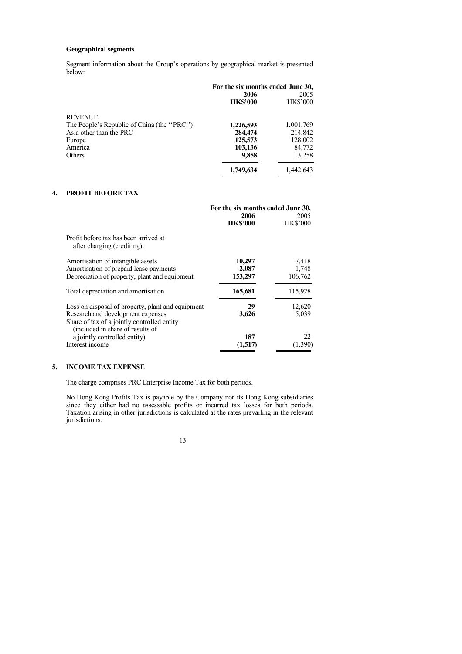## **Geographical segments**

Segment information about the Group's operations by geographical market is presented below:

|                                            | For the six months ended June 30, |                 |  |
|--------------------------------------------|-----------------------------------|-----------------|--|
|                                            | 2006                              | 2005            |  |
|                                            | <b>HK\$'000</b>                   | <b>HK\$'000</b> |  |
| <b>REVENUE</b>                             |                                   |                 |  |
| The People's Republic of China (the "PRC") | 1,226,593                         | 1,001,769       |  |
| Asia other than the PRC                    | 284,474                           | 214,842         |  |
| Europe                                     | 125,573                           | 128,002         |  |
| America                                    | 103,136                           | 84,772          |  |
| Others                                     | 9,858                             | 13,258          |  |
|                                            | 1,749,634                         | 1,442,643       |  |

## **4. PROFIT BEFORE TAX**

|                                                                                                                                                                           | For the six months ended June 30, |                           |  |
|---------------------------------------------------------------------------------------------------------------------------------------------------------------------------|-----------------------------------|---------------------------|--|
|                                                                                                                                                                           | 2006                              | 2005                      |  |
|                                                                                                                                                                           | <b>HK\$'000</b>                   | <b>HK\$'000</b>           |  |
| Profit before tax has been arrived at<br>after charging (crediting):                                                                                                      |                                   |                           |  |
| Amortisation of intangible assets<br>Amortisation of prepaid lease payments<br>Depreciation of property, plant and equipment                                              | 10,297<br>2,087<br>153,297        | 7,418<br>1,748<br>106,762 |  |
| Total depreciation and amortisation                                                                                                                                       | 165,681                           | 115,928                   |  |
| Loss on disposal of property, plant and equipment<br>Research and development expenses<br>Share of tax of a jointly controlled entity<br>(included in share of results of | 29<br>3,626                       | 12,620<br>5,039           |  |
| a jointly controlled entity)<br>Interest income                                                                                                                           | 187<br>(1,517)                    | 22<br>(1,390)             |  |

## **5. INCOME TAX EXPENSE**

The charge comprises PRC Enterprise Income Tax for both periods.

No Hong Kong Profits Tax is payable by the Company nor its Hong Kong subsidiaries since they either had no assessable profits or incurred tax losses for both periods. Taxation arising in other jurisdictions is calculated at the rates prevailing in the relevant jurisdictions.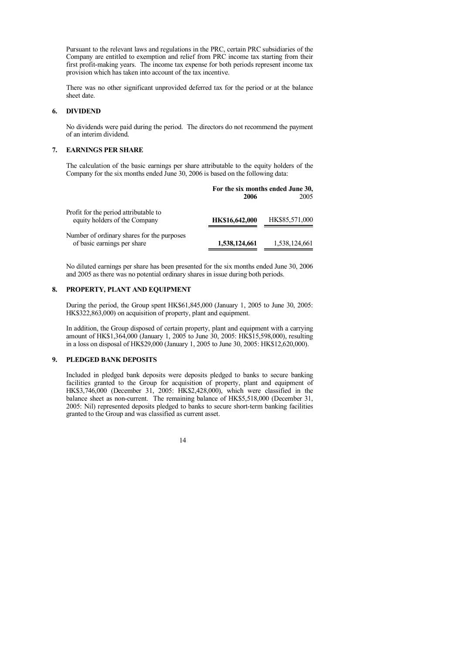Pursuant to the relevant laws and regulations in the PRC, certain PRC subsidiaries of the Company are entitled to exemption and relief from PRC income tax starting from their first profit-making years. The income tax expense for both periods represent income tax provision which has taken into account of the tax incentive.

There was no other significant unprovided deferred tax for the period or at the balance sheet date.

## **6. DIVIDEND**

No dividends were paid during the period. The directors do not recommend the payment of an interim dividend.

#### **7. EARNINGS PER SHARE**

The calculation of the basic earnings per share attributable to the equity holders of the Company for the six months ended June 30, 2006 is based on the following data:

|                                                                           | For the six months ended June 30,<br>2005<br>2006 |                |  |
|---------------------------------------------------------------------------|---------------------------------------------------|----------------|--|
| Profit for the period attributable to<br>equity holders of the Company    | HK\$16,642,000                                    | HK\$85,571,000 |  |
| Number of ordinary shares for the purposes<br>of basic earnings per share | 1,538,124,661                                     | 1,538,124,661  |  |

No diluted earnings per share has been presented for the six months ended June 30, 2006 and 2005 as there was no potential ordinary shares in issue during both periods.

## **8. PROPERTY, PLANT AND EQUIPMENT**

During the period, the Group spent HK\$61,845,000 (January 1, 2005 to June 30, 2005: HK\$322,863,000) on acquisition of property, plant and equipment.

In addition, the Group disposed of certain property, plant and equipment with a carrying amount of HK\$1,364,000 (January 1, 2005 to June 30, 2005: HK\$15,598,000), resulting in a loss on disposal of HK\$29,000 (January 1, 2005 to June 30, 2005: HK\$12,620,000).

## **9. PLEDGED BANK DEPOSITS**

Included in pledged bank deposits were deposits pledged to banks to secure banking facilities granted to the Group for acquisition of property, plant and equipment of HK\$3,746,000 (December 31, 2005: HK\$2,428,000), which were classified in the balance sheet as non-current. The remaining balance of HK\$5,518,000 (December 31, 2005: Nil) represented deposits pledged to banks to secure short-term banking facilities granted to the Group and was classified as current asset.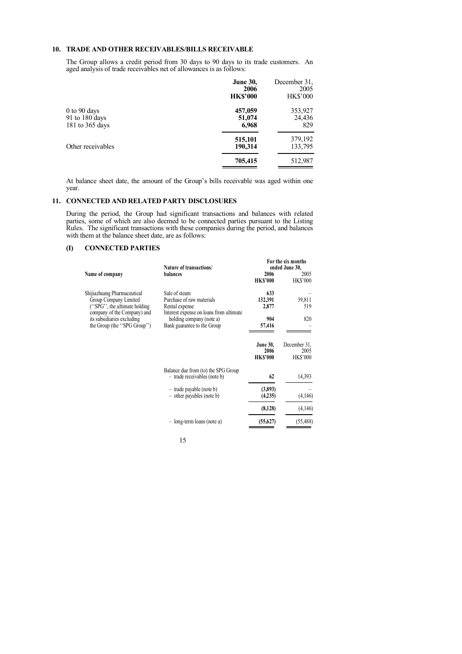## **10. TRADE AND OTHER RECEIVABLES/BILLS RECEIVABLE**

The Group allows a credit period from 30 days to 90 days to its trade customers. An aged analysis of trade receivables net of allowances is as follows:

|                                                   | <b>June 30,</b><br>2006<br><b>HK\$'000</b> | December 31.<br>2005<br><b>HK\$'000</b> |
|---------------------------------------------------|--------------------------------------------|-----------------------------------------|
| 0 to 90 days<br>91 to 180 days<br>181 to 365 days | 457,059<br>51,074<br>6,968                 | 353,927<br>24,436<br>829                |
| Other receivables                                 | 515,101<br>190,314                         | 379,192<br>133,795                      |
|                                                   | 705,415                                    | 512,987                                 |

At balance sheet date, the amount of the Group's bills receivable was aged within one year.

#### **11. CONNECTED AND RELATED PARTY DISCLOSURES**

During the period, the Group had significant transactions and balances with related parties, some of which are also deemed to be connected parties pursuant to the Listing Rules. The significant transactions with these companies during the period, and balances with them at the balance sheet date, are as follows:

## **(I) CONNECTED PARTIES**

|                                                                                          | Nature of transactions/                                                                                 | For the six months<br>ended June 30,       |                                         |
|------------------------------------------------------------------------------------------|---------------------------------------------------------------------------------------------------------|--------------------------------------------|-----------------------------------------|
| Name of company                                                                          | balances                                                                                                | 2006<br><b>HK\$'000</b>                    | 2005<br><b>HK\$'000</b>                 |
| Shijiazhuang Pharmaceutical<br>Group Company Limited<br>"SPG", the ultimate holding"     | Sale of steam<br>Purchase of raw materials<br>Rental expense<br>Interest expense on loans from ultimate | 633<br>132,391<br>2,877                    | 39,811<br>519                           |
| company of the Company) and<br>its subsidiaries excluding<br>the Group (the "SPG Group") | holding company (note a)<br>Bank guarantee to the Group                                                 | 904<br>57,416                              | 820                                     |
|                                                                                          |                                                                                                         | <b>June 30,</b><br>2006<br><b>HK\$'000</b> | December 31,<br>2005<br><b>HK\$'000</b> |
|                                                                                          | Balance due from (to) the SPG Group<br>- trade receivables (note b)                                     | 62                                         | 14,393                                  |
|                                                                                          | $-$ trade payable (note b)<br>$-$ other payables (note b)                                               | (3,893)<br>(4,235)                         | (4,146)                                 |
|                                                                                          |                                                                                                         | (8,128)                                    | (4,146)                                 |
|                                                                                          | $-$ long-term loans (note a)                                                                            | (55,627)                                   | (55, 488)                               |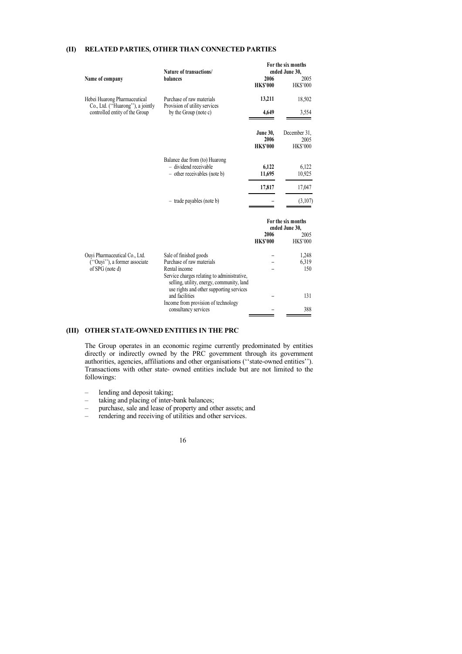### **(II) RELATED PARTIES, OTHER THAN CONNECTED PARTIES**

|                                                                  | Nature of transactions/                                                                | For the six months<br>ended June 30,                 |                                         |
|------------------------------------------------------------------|----------------------------------------------------------------------------------------|------------------------------------------------------|-----------------------------------------|
| Name of company                                                  | balances                                                                               | 2006<br><b>HK\$'000</b>                              | 2005<br><b>HK\$'000</b>                 |
| Hebei Huarong Pharmaceutical<br>Co., Ltd. ("Huarong"), a jointly | Purchase of raw materials<br>Provision of utility services                             | 13,211                                               | 18,502                                  |
| controlled entity of the Group                                   | by the Group (note c)                                                                  | 4,649                                                | 3,554                                   |
|                                                                  |                                                                                        | <b>June 30,</b><br>2006<br><b>HK\$'000</b>           | December 31,<br>2005<br><b>HK\$'000</b> |
|                                                                  | Balance due from (to) Huarong<br>- dividend receivable<br>- other receivables (note b) | 6,122<br>11,695                                      | 6,122<br>10,925                         |
|                                                                  |                                                                                        | 17,817                                               | 17,047                                  |
|                                                                  | - trade payables (note b)                                                              |                                                      | (3,107)                                 |
|                                                                  |                                                                                        | For the six months<br>ended June 30,<br>2006<br>2005 |                                         |
|                                                                  |                                                                                        | <b>HK\$'000</b>                                      | <b>HK\$'000</b>                         |
| Ouyi Pharmaceutical Co., Ltd.                                    | Sale of finished goods                                                                 |                                                      | 1,248                                   |
| ("Ouyi"), a former associate<br>of SPG (note d)                  | Purchase of raw materials<br>Rental income                                             |                                                      | 6,319<br>150                            |

#### **(III) OTHER STATE-OWNED ENTITIES IN THE PRC**

The Group operates in an economic regime currently predominated by entities directly or indirectly owned by the PRC government through its government authorities, agencies, affiliations and other organisations (''state-owned entities''). Transactions with other state- owned entities include but are not limited to the followings:

Service charges relating to administrative, selling, utility, energy, community, land use rights and other supporting services

**–**

**– –** 131 388

Income from provision of technology consultancy services

and facilities

- lending and deposit taking;
- taking and placing of inter-bank balances;
- purchase, sale and lease of property and other assets; and
- rendering and receiving of utilities and other services.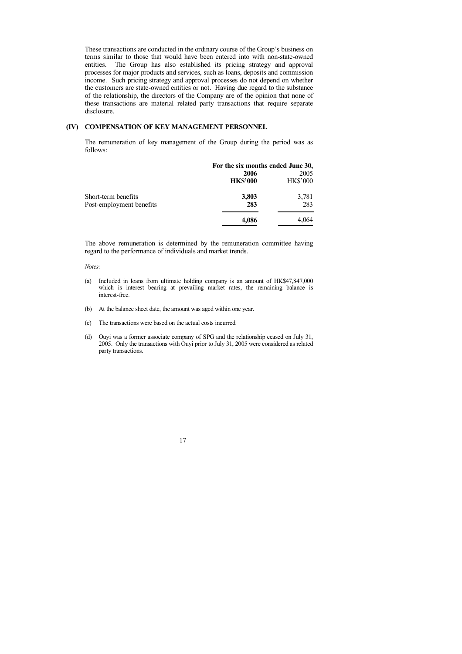These transactions are conducted in the ordinary course of the Group's business on terms similar to those that would have been entered into with non-state-owned entities. The Group has also established its pricing strategy and approval processes for major products and services, such as loans, deposits and commission income. Such pricing strategy and approval processes do not depend on whether the customers are state-owned entities or not. Having due regard to the substance of the relationship, the directors of the Company are of the opinion that none of these transactions are material related party transactions that require separate disclosure.

## **(IV) COMPENSATION OF KEY MANAGEMENT PERSONNEL**

The remuneration of key management of the Group during the period was as follows:

|                          | For the six months ended June 30, |                 |
|--------------------------|-----------------------------------|-----------------|
|                          | 2006                              | 2005            |
|                          | <b>HK\$'000</b>                   | <b>HK\$'000</b> |
| Short-term benefits      | 3,803                             | 3,781           |
| Post-employment benefits | 283                               | 283             |
|                          | 4,086                             | 4,064           |

The above remuneration is determined by the remuneration committee having regard to the performance of individuals and market trends.

#### *Notes:*

- (a) Included in loans from ultimate holding company is an amount of HK\$47,847,000 which is interest bearing at prevailing market rates, the remaining balance is interest-free.
- (b) At the balance sheet date, the amount was aged within one year.
- (c) The transactions were based on the actual costs incurred.
- (d) Ouyi was a former associate company of SPG and the relationship ceased on July 31, 2005. Only the transactions with Ouyi prior to July 31, 2005 were considered as related party transactions.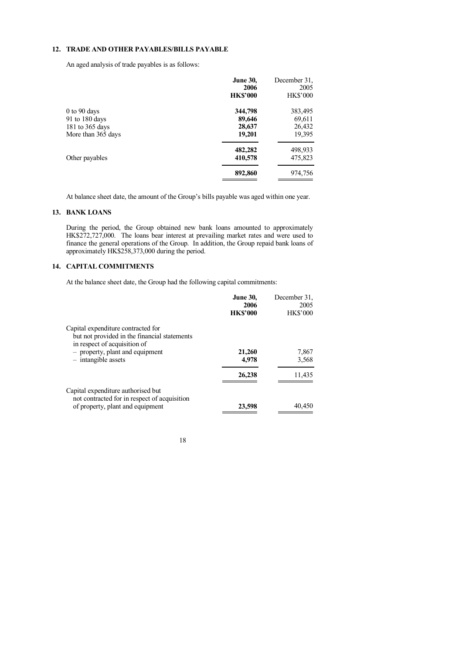## **12. TRADE AND OTHER PAYABLES/BILLS PAYABLE**

An aged analysis of trade payables is as follows:

| <b>June 30,</b> | December 31.<br>2005 |
|-----------------|----------------------|
| <b>HK\$'000</b> | <b>HK\$'000</b>      |
| 344,798         | 383,495              |
| 89,646          | 69,611               |
| 28,637          | 26,432               |
| 19,201          | 19,395               |
| 482,282         | 498,933              |
| 410,578         | 475,823              |
| 892,860         | 974,756              |
|                 | 2006                 |

At balance sheet date, the amount of the Group's bills payable was aged within one year.

## **13. BANK LOANS**

During the period, the Group obtained new bank loans amounted to approximately HK\$272,727,000. The loans bear interest at prevailing market rates and were used to finance the general operations of the Group. In addition, the Group repaid bank loans of approximately HK\$258,373,000 during the period.

## **14. CAPITAL COMMITMENTS**

At the balance sheet date, the Group had the following capital commitments:

|                                                                                                                        | <b>June 30.</b><br>2006<br><b>HK\$'000</b> | December 31.<br>2005<br><b>HK\$'000</b> |
|------------------------------------------------------------------------------------------------------------------------|--------------------------------------------|-----------------------------------------|
| Capital expenditure contracted for<br>but not provided in the financial statements<br>in respect of acquisition of     |                                            |                                         |
| - property, plant and equipment<br>$-$ intangible assets                                                               | 21,260<br>4,978                            | 7,867<br>3,568                          |
|                                                                                                                        | 26,238                                     | 11,435                                  |
| Capital expenditure authorised but<br>not contracted for in respect of acquisition<br>of property, plant and equipment | 23,598                                     | 40,450                                  |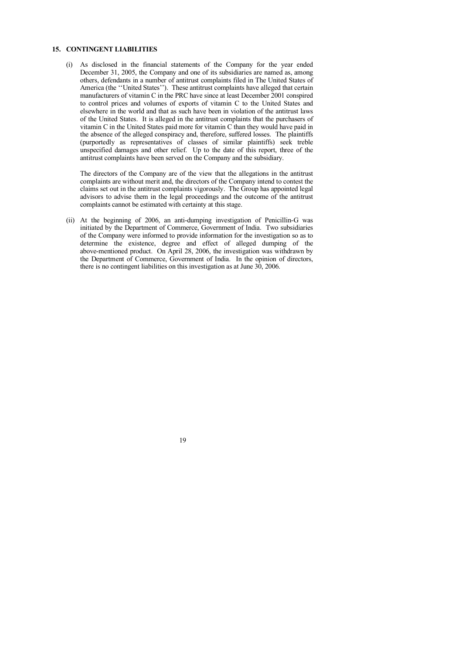## **15. CONTINGENT LIABILITIES**

(i) As disclosed in the financial statements of the Company for the year ended December 31, 2005, the Company and one of its subsidiaries are named as, among others, defendants in a number of antitrust complaints filed in The United States of America (the ''United States''). These antitrust complaints have alleged that certain manufacturers of vitamin C in the PRC have since at least December 2001 conspired to control prices and volumes of exports of vitamin C to the United States and elsewhere in the world and that as such have been in violation of the antitrust laws of the United States. It is alleged in the antitrust complaints that the purchasers of vitamin C in the United States paid more for vitamin C than they would have paid in the absence of the alleged conspiracy and, therefore, suffered losses. The plaintiffs (purportedly as representatives of classes of similar plaintiffs) seek treble unspecified damages and other relief. Up to the date of this report, three of the antitrust complaints have been served on the Company and the subsidiary.

The directors of the Company are of the view that the allegations in the antitrust complaints are without merit and, the directors of the Company intend to contest the claims set out in the antitrust complaints vigorously. The Group has appointed legal advisors to advise them in the legal proceedings and the outcome of the antitrust complaints cannot be estimated with certainty at this stage.

(ii) At the beginning of 2006, an anti-dumping investigation of Penicillin-G was initiated by the Department of Commerce, Government of India. Two subsidiaries of the Company were informed to provide information for the investigation so as to determine the existence, degree and effect of alleged dumping of the above-mentioned product. On April 28, 2006, the investigation was withdrawn by the Department of Commerce, Government of India. In the opinion of directors, there is no contingent liabilities on this investigation as at June 30, 2006.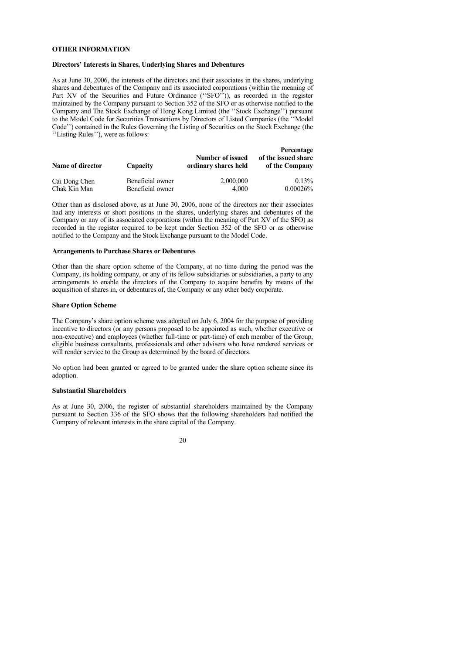## <span id="page-20-0"></span>**OTHER INFORMATION**

## **Directors' Interests in Shares, Underlying Shares and Debentures**

As at June 30, 2006, the interests of the directors and their associates in the shares, underlying shares and debentures of the Company and its associated corporations (within the meaning of Part XV of the Securities and Future Ordinance ("SFO")), as recorded in the register maintained by the Company pursuant to Section 352 of the SFO or as otherwise notified to the Company and The Stock Exchange of Hong Kong Limited (the ''Stock Exchange'') pursuant to the Model Code for Securities Transactions by Directors of Listed Companies (the ''Model Code'') contained in the Rules Governing the Listing of Securities on the Stock Exchange (the ''Listing Rules''), were as follows:

| Name of director | Capacity         | Number of issued<br>ordinary shares held | Percentage<br>of the issued share<br>of the Company |
|------------------|------------------|------------------------------------------|-----------------------------------------------------|
| Cai Dong Chen    | Beneficial owner | 2,000,000                                | 0.13%                                               |
| Chak Kin Man     | Beneficial owner | 4.000                                    | $0.00026\%$                                         |

Other than as disclosed above, as at June 30, 2006, none of the directors nor their associates had any interests or short positions in the shares, underlying shares and debentures of the Company or any of its associated corporations (within the meaning of Part XV of the SFO) as recorded in the register required to be kept under Section 352 of the SFO or as otherwise notified to the Company and the Stock Exchange pursuant to the Model Code.

#### **Arrangements to Purchase Shares or Debentures**

Other than the share option scheme of the Company, at no time during the period was the Company, its holding company, or any of its fellow subsidiaries or subsidiaries, a party to any arrangements to enable the directors of the Company to acquire benefits by means of the acquisition of shares in, or debentures of, the Company or any other body corporate.

#### **Share Option Scheme**

The Company's share option scheme was adopted on July 6, 2004 for the purpose of providing incentive to directors (or any persons proposed to be appointed as such, whether executive or non-executive) and employees (whether full-time or part-time) of each member of the Group, eligible business consultants, professionals and other advisers who have rendered services or will render service to the Group as determined by the board of directors.

No option had been granted or agreed to be granted under the share option scheme since its adoption.

#### **Substantial Shareholders**

As at June 30, 2006, the register of substantial shareholders maintained by the Company pursuant to Section 336 of the SFO shows that the following shareholders had notified the Company of relevant interests in the share capital of the Company.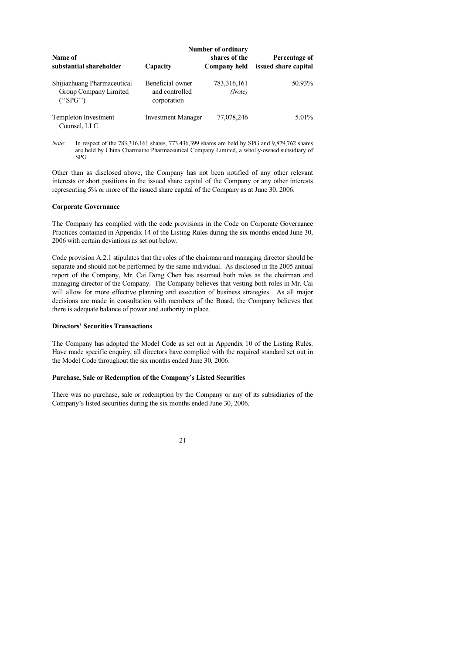|                                                                 | <b>Number of ordinary</b>                         |                               |                                       |  |
|-----------------------------------------------------------------|---------------------------------------------------|-------------------------------|---------------------------------------|--|
| Name of<br>substantial shareholder                              | Capacity                                          | shares of the<br>Company held | Percentage of<br>issued share capital |  |
| Shijiazhuang Pharmaceutical<br>Group Company Limited<br>("SPG") | Beneficial owner<br>and controlled<br>corporation | 783, 316, 161<br>(Note)       | 50.93%                                |  |
| Templeton Investment<br>Counsel, LLC                            | <b>Investment Manager</b>                         | 77,078,246                    | $5.01\%$                              |  |

*Note:* In respect of the 783,316,161 shares, 773,436,399 shares are held by SPG and 9,879,762 shares are held by China Charmaine Pharmaceutical Company Limited, a wholly-owned subsidiary of SPG

Other than as disclosed above, the Company has not been notified of any other relevant interests or short positions in the issued share capital of the Company or any other interests representing 5% or more of the issued share capital of the Company as at June 30, 2006.

#### **Corporate Governance**

The Company has complied with the code provisions in the Code on Corporate Governance Practices contained in Appendix 14 of the Listing Rules during the six months ended June 30, 2006 with certain deviations as set out below.

Code provision A.2.1 stipulates that the roles of the chairman and managing director should be separate and should not be performed by the same individual. As disclosed in the 2005 annual report of the Company, Mr. Cai Dong Chen has assumed both roles as the chairman and managing director of the Company. The Company believes that vesting both roles in Mr. Cai will allow for more effective planning and execution of business strategies. As all major decisions are made in consultation with members of the Board, the Company believes that there is adequate balance of power and authority in place.

## **Directors' Securities Transactions**

The Company has adopted the Model Code as set out in Appendix 10 of the Listing Rules. Have made specific enquiry, all directors have complied with the required standard set out in the Model Code throughout the six months ended June 30, 2006.

#### **Purchase, Sale or Redemption of the Company's Listed Securities**

There was no purchase, sale or redemption by the Company or any of its subsidiaries of the Company's listed securities during the six months ended June 30, 2006.